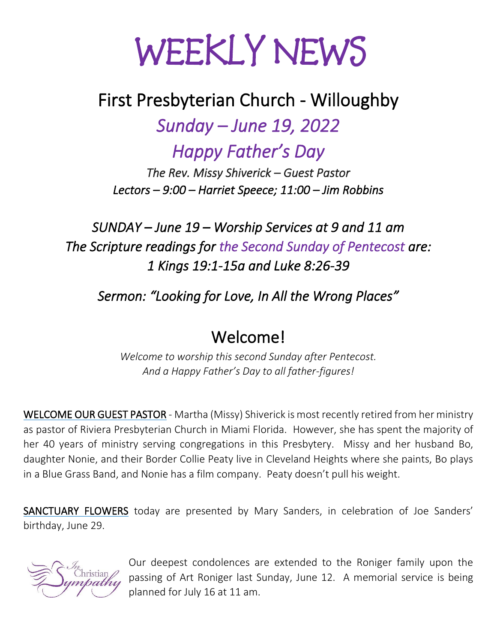# WEEKLY NEWS

## First Presbyterian Church - Willoughby

*Sunday – June 19, 2022* 

*Happy Father's Day* 

*The Rev. Missy Shiverick – Guest Pastor Lectors – 9:00 – Harriet Speece; 11:00 – Jim Robbins*

*SUNDAY – June 19 – Worship Services at 9 and 11 am The Scripture readings for the Second Sunday of Pentecost are: 1 Kings 19:1-15a and Luke 8:26-39* 

*Sermon: "Looking for Love, In All the Wrong Places"* 

## Welcome!

*Welcome to worship this second Sunday after Pentecost. And a Happy Father's Day to all father-figures!*

WELCOME OUR GUEST PASTOR - Martha (Missy) Shiverick is most recently retired from her ministry as pastor of Riviera Presbyterian Church in Miami Florida. However, she has spent the majority of her 40 years of ministry serving congregations in this Presbytery. Missy and her husband Bo, daughter Nonie, and their Border Collie Peaty live in Cleveland Heights where she paints, Bo plays in a Blue Grass Band, and Nonie has a film company. Peaty doesn't pull his weight.

SANCTUARY FLOWERS today are presented by Mary Sanders, in celebration of Joe Sanders' birthday, June 29.



Our deepest condolences are extended to the Roniger family upon the passing of Art Roniger last Sunday, June 12. A memorial service is being planned for July 16 at 11 am.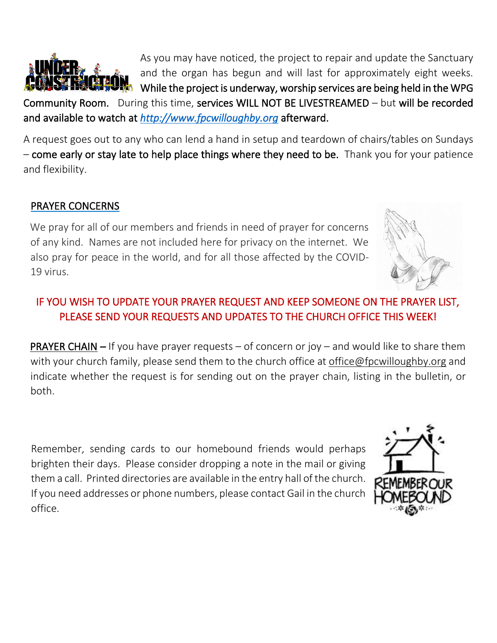

As you may have noticed, the project to repair and update the Sanctuary and the organ has begun and will last for approximately eight weeks. While the project is underway, worship services are being held in the WPG

Community Room. During this time, services WILL NOT BE LIVESTREAMED – but will be recorded and available to watch at *[http://www.fpcwilloughby.org](http://www.fpcwilloughby.org/)* afterward.

A request goes out to any who can lend a hand in setup and teardown of chairs/tables on Sundays – come early or stay late to help place things where they need to be. Thank you for your patience and flexibility.

#### PRAYER CONCERNS

We pray for all of our members and friends in need of prayer for concerns of any kind. Names are not included here for privacy on the internet. We also pray for peace in the world, and for all those affected by the COVID-19 virus.

#### IF YOU WISH TO UPDATE YOUR PRAYER REQUEST AND KEEP SOMEONE ON THE PRAYER LIST, PLEASE SEND YOUR REQUESTS AND UPDATES TO THE CHURCH OFFICE THIS WEEK!

**PRAYER CHAIN –** If you have prayer requests – of concern or joy – and would like to share them with your church family, please send them to the church office at office@fpcwilloughby.org and indicate whether the request is for sending out on the prayer chain, listing in the bulletin, or both.

Remember, sending cards to our homebound friends would perhaps brighten their days. Please consider dropping a note in the mail or giving them a call. Printed directories are available in the entry hall of the church. If you need addresses or phone numbers, please contact Gail in the church office.



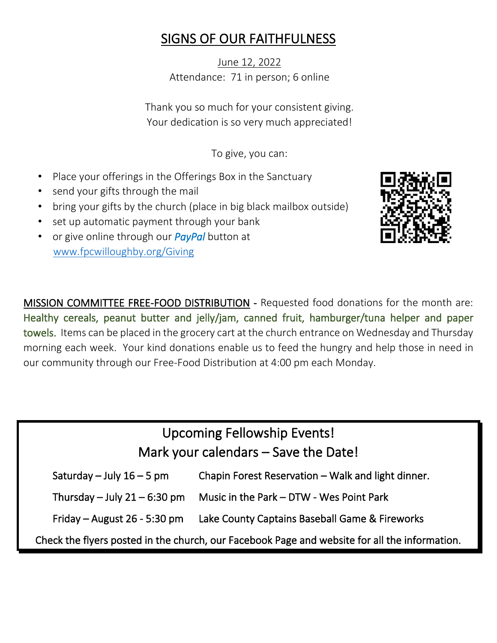## SIGNS OF OUR FAITHFULNESS

June 12, 2022 Attendance: 71 in person; 6 online

Thank you so much for your consistent giving. Your dedication is so very much appreciated!

To give, you can:

- Place your offerings in the Offerings Box in the Sanctuary
- send your gifts through the mail
- bring your gifts by the church (place in big black mailbox outside)
- set up automatic payment through your bank
- or give online through our *PayPal* button at [www.fpcwilloughby.org/Giving](http://www.fpcwilloughby.org/Giving)



MISSION COMMITTEE FREE-FOOD DISTRIBUTION - Requested food donations for the month are: Healthy cereals, peanut butter and jelly/jam, canned fruit, hamburger/tuna helper and paper towels. Items can be placed in the grocery cart at the church entrance on Wednesday and Thursday morning each week. Your kind donations enable us to feed the hungry and help those in need in our community through our Free-Food Distribution at 4:00 pm each Monday.

## Upcoming Fellowship Events! Mark your calendars – Save the Date!

Saturday – July  $16 - 5$  pm Chapin Forest Reservation – Walk and light dinner.

Thursday – July  $21 - 6:30$  pm Music in the Park – DTW - Wes Point Park

Friday – August 26 - 5:30 pm Lake County Captains Baseball Game & Fireworks

Check the flyers posted in the church, our Facebook Page and website for all the information.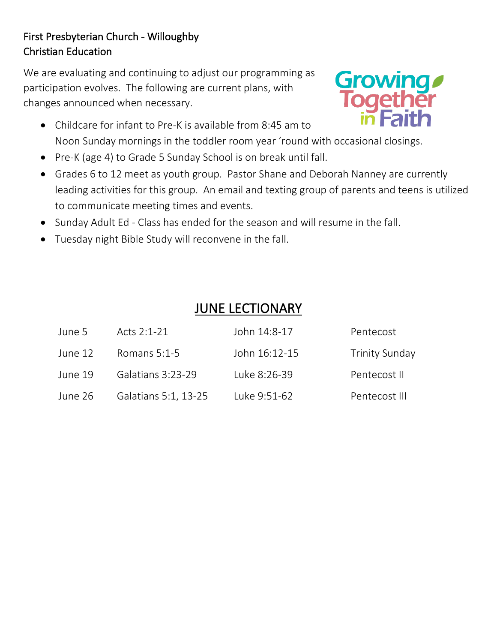#### First Presbyterian Church - Willoughby Christian Education

We are evaluating and continuing to adjust our programming as participation evolves. The following are current plans, with changes announced when necessary.

- Childcare for infant to Pre-K is available from 8:45 am to Noon Sunday mornings in the toddler room year 'round with occasional closings.
- Pre-K (age 4) to Grade 5 Sunday School is on break until fall.
- Grades 6 to 12 meet as youth group. Pastor Shane and Deborah Nanney are currently leading activities for this group. An email and texting group of parents and teens is utilized to communicate meeting times and events.
- Sunday Adult Ed Class has ended for the season and will resume in the fall.
- Tuesday night Bible Study will reconvene in the fall.

## JUNE LECTIONARY

| June 5  | Acts 2:1-21          | John 14:8-17  | Pentecost             |
|---------|----------------------|---------------|-----------------------|
| June 12 | Romans $5:1-5$       | John 16:12-15 | <b>Trinity Sunday</b> |
| June 19 | Galatians 3:23-29    | Luke 8:26-39  | Pentecost II          |
| June 26 | Galatians 5:1, 13-25 | Luke 9:51-62  | Pentecost III         |